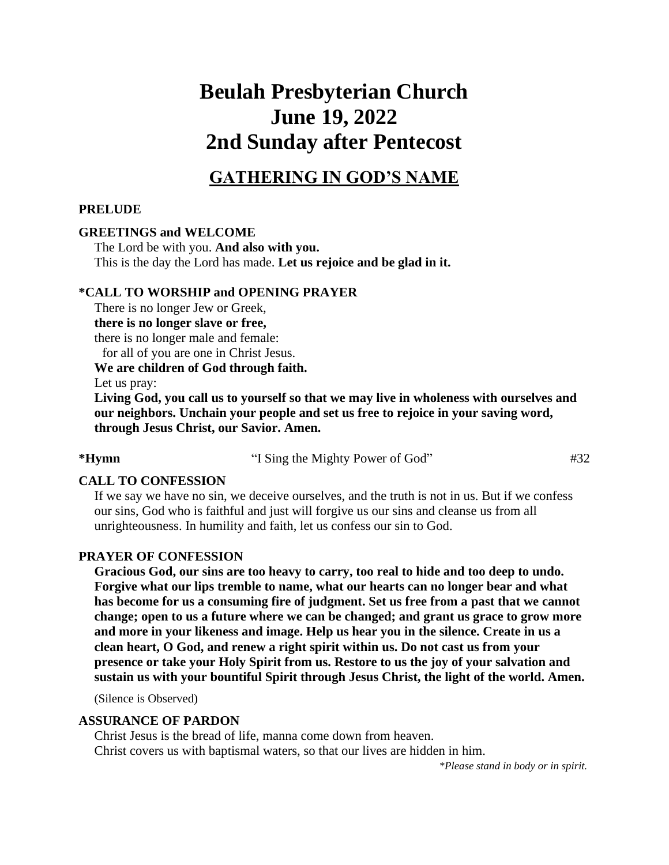# **Beulah Presbyterian Church June 19, 2022 2nd Sunday after Pentecost**

### **GATHERING IN GOD'S NAME**

### **PRELUDE**

### **GREETINGS and WELCOME**

The Lord be with you. **And also with you.** This is the day the Lord has made. **Let us rejoice and be glad in it.**

### **\*CALL TO WORSHIP and OPENING PRAYER**

There is no longer Jew or Greek, **there is no longer slave or free,**  there is no longer male and female: for all of you are one in Christ Jesus. **We are children of God through faith.**

Let us pray:

**Living God, you call us to yourself so that we may live in wholeness with ourselves and our neighbors. Unchain your people and set us free to rejoice in your saving word, through Jesus Christ, our Savior. Amen.**

### 

**\*Hymn** "I Sing the Mighty Power of God" #32

### **CALL TO CONFESSION**

If we say we have no sin, we deceive ourselves, and the truth is not in us. But if we confess our sins, God who is faithful and just will forgive us our sins and cleanse us from all unrighteousness. In humility and faith, let us confess our sin to God.

### **PRAYER OF CONFESSION**

**Gracious God, our sins are too heavy to carry, too real to hide and too deep to undo. Forgive what our lips tremble to name, what our hearts can no longer bear and what has become for us a consuming fire of judgment. Set us free from a past that we cannot change; open to us a future where we can be changed; and grant us grace to grow more and more in your likeness and image. Help us hear you in the silence. Create in us a clean heart, O God, and renew a right spirit within us. Do not cast us from your presence or take your Holy Spirit from us. Restore to us the joy of your salvation and sustain us with your bountiful Spirit through Jesus Christ, the light of the world. Amen.** 

(Silence is Observed)

### **ASSURANCE OF PARDON**

Christ Jesus is the bread of life, manna come down from heaven. Christ covers us with baptismal waters, so that our lives are hidden in him.

*\*Please stand in body or in spirit.*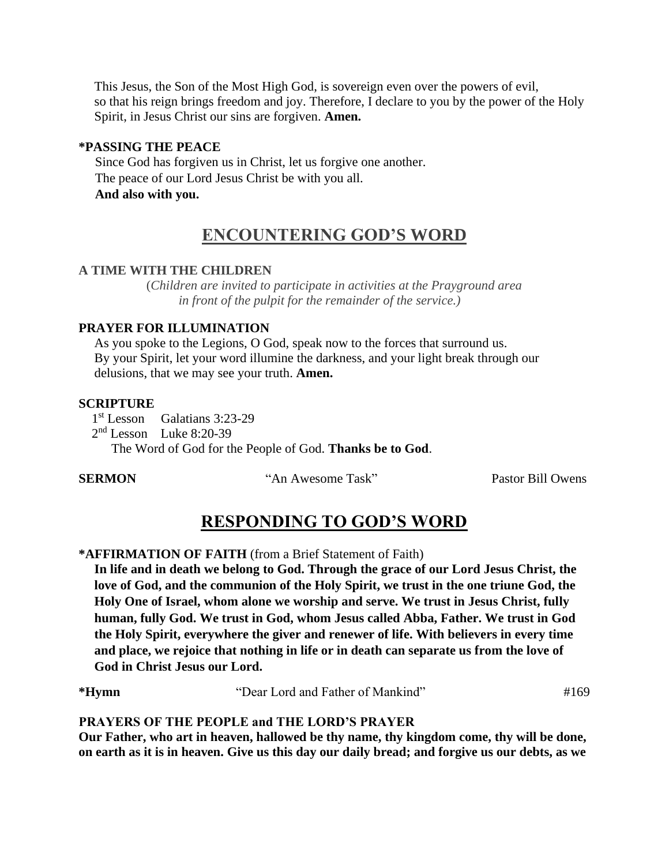This Jesus, the Son of the Most High God, is sovereign even over the powers of evil, so that his reign brings freedom and joy. Therefore, I declare to you by the power of the Holy Spirit, in Jesus Christ our sins are forgiven. **Amen.**

### **\*PASSING THE PEACE**

 Since God has forgiven us in Christ, let us forgive one another. The peace of our Lord Jesus Christ be with you all.  **And also with you.**

## **ENCOUNTERING GOD'S WORD**

### **A TIME WITH THE CHILDREN**

(*Children are invited to participate in activities at the Prayground area in front of the pulpit for the remainder of the service.)* 

### **PRAYER FOR ILLUMINATION**

As you spoke to the Legions, O God, speak now to the forces that surround us. By your Spirit, let your word illumine the darkness, and your light break through our delusions, that we may see your truth. **Amen.**

### **SCRIPTURE**

1<sup>st</sup> Lesson Galatians 3:23-29

2<sup>nd</sup> Lesson Luke 8:20-39

The Word of God for the People of God. **Thanks be to God**.

**SERMON** "An Awesome Task" Pastor Bill Owens

## **RESPONDING TO GOD'S WORD**

### **\*AFFIRMATION OF FAITH** (from a Brief Statement of Faith)

**In life and in death we belong to God. Through the grace of our Lord Jesus Christ, the love of God, and the communion of the Holy Spirit, we trust in the one triune God, the Holy One of Israel, whom alone we worship and serve. We trust in Jesus Christ, fully human, fully God. We trust in God, whom Jesus called Abba, Father. We trust in God the Holy Spirit, everywhere the giver and renewer of life. With believers in every time and place, we rejoice that nothing in life or in death can separate us from the love of God in Christ Jesus our Lord.** 

**\*Hymn** "Dear Lord and Father of Mankind" #169

### **PRAYERS OF THE PEOPLE and THE LORD'S PRAYER**

**Our Father, who art in heaven, hallowed be thy name, thy kingdom come, thy will be done, on earth as it is in heaven. Give us this day our daily bread; and forgive us our debts, as we**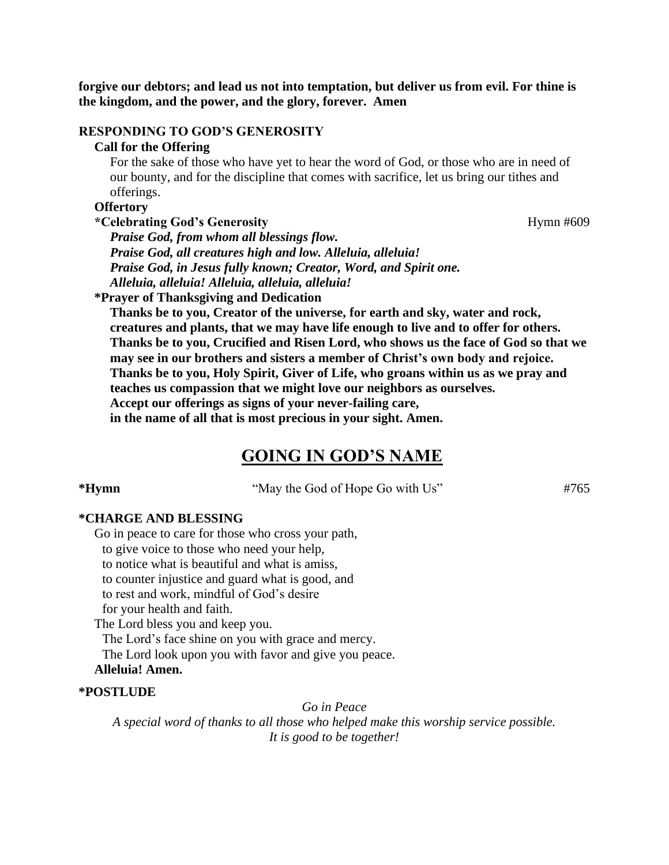**forgive our debtors; and lead us not into temptation, but deliver us from evil. For thine is the kingdom, and the power, and the glory, forever. Amen**

### **RESPONDING TO GOD'S GENEROSITY**

### **Call for the Offering**

For the sake of those who have yet to hear the word of God, or those who are in need of our bounty, and for the discipline that comes with sacrifice, let us bring our tithes and offerings.

### **Offertory**

\*Celebrating God's Generosity **Hymn #609** 

*Praise God, from whom all blessings flow. Praise God, all creatures high and low. Alleluia, alleluia! Praise God, in Jesus fully known; Creator, Word, and Spirit one. Alleluia, alleluia! Alleluia, alleluia, alleluia!*

**\*Prayer of Thanksgiving and Dedication**

**Thanks be to you, Creator of the universe, for earth and sky, water and rock, creatures and plants, that we may have life enough to live and to offer for others. Thanks be to you, Crucified and Risen Lord, who shows us the face of God so that we may see in our brothers and sisters a member of Christ's own body and rejoice. Thanks be to you, Holy Spirit, Giver of Life, who groans within us as we pray and teaches us compassion that we might love our neighbors as ourselves. Accept our offerings as signs of your never-failing care, in the name of all that is most precious in your sight. Amen.**

### **GOING IN GOD'S NAME**

\***Hymn** "May the God of Hope Go with Us" #765

### **\*CHARGE AND BLESSING**

Go in peace to care for those who cross your path, to give voice to those who need your help, to notice what is beautiful and what is amiss, to counter injustice and guard what is good, and to rest and work, mindful of God's desire for your health and faith. The Lord bless you and keep you. The Lord's face shine on you with grace and mercy. The Lord look upon you with favor and give you peace.

### **Alleluia! Amen.**

### **\*POSTLUDE**

*Go in Peace*

*A special word of thanks to all those who helped make this worship service possible. It is good to be together!*